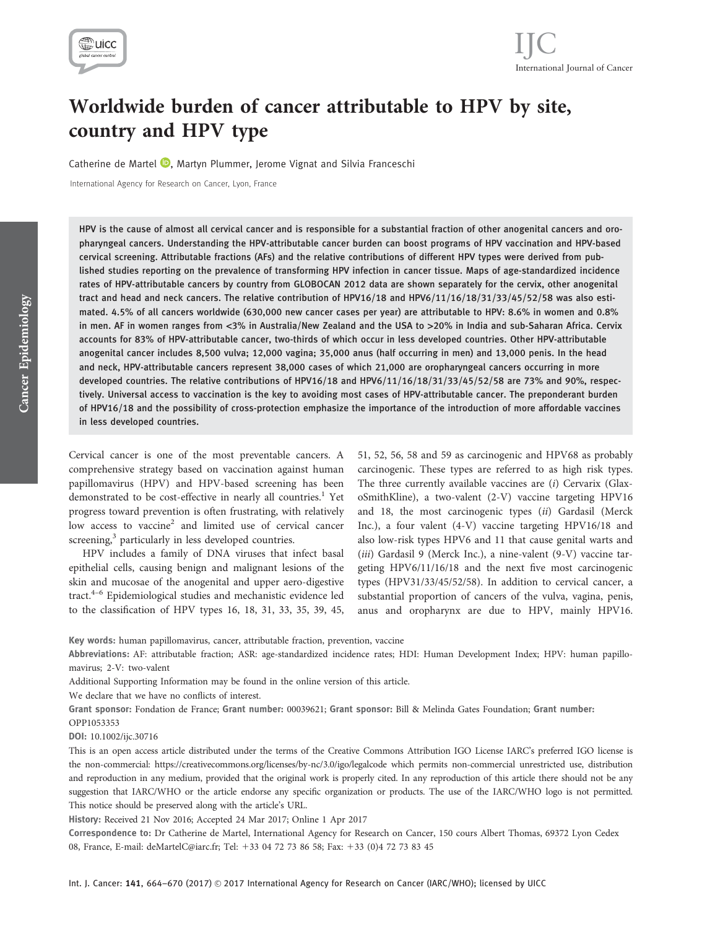

# Worldwide burden of cancer attributable to HPV by site, country and HPV type

Catherine de Martel **D**[,](http://orcid.org/0000-0002-3642-277X) Martyn Plummer, Jerome Vignat and Silvia Franceschi

International Agency for Research on Cancer, Lyon, France

HPV is the cause of almost all cervical cancer and is responsible for a substantial fraction of other anogenital cancers and oropharyngeal cancers. Understanding the HPV-attributable cancer burden can boost programs of HPV vaccination and HPV-based cervical screening. Attributable fractions (AFs) and the relative contributions of different HPV types were derived from published studies reporting on the prevalence of transforming HPV infection in cancer tissue. Maps of age-standardized incidence rates of HPV-attributable cancers by country from GLOBOCAN 2012 data are shown separately for the cervix, other anogenital tract and head and neck cancers. The relative contribution of HPV16/18 and HPV6/11/16/18/31/33/45/52/58 was also estimated. 4.5% of all cancers worldwide (630,000 new cancer cases per year) are attributable to HPV: 8.6% in women and 0.8% in men. AF in women ranges from <3% in Australia/New Zealand and the USA to >20% in India and sub-Saharan Africa. Cervix accounts for 83% of HPV-attributable cancer, two-thirds of which occur in less developed countries. Other HPV-attributable anogenital cancer includes 8,500 vulva; 12,000 vagina; 35,000 anus (half occurring in men) and 13,000 penis. In the head and neck, HPV-attributable cancers represent 38,000 cases of which 21,000 are oropharyngeal cancers occurring in more developed countries. The relative contributions of HPV16/18 and HPV6/11/16/18/31/33/45/52/58 are 73% and 90%, respectively. Universal access to vaccination is the key to avoiding most cases of HPV-attributable cancer. The preponderant burden of HPV16/18 and the possibility of cross-protection emphasize the importance of the introduction of more affordable vaccines in less developed countries.

Cervical cancer is one of the most preventable cancers. A comprehensive strategy based on vaccination against human papillomavirus (HPV) and HPV-based screening has been demonstrated to be cost-effective in nearly all countries.<sup>1</sup> Yet progress toward prevention is often frustrating, with relatively low access to vaccine<sup>2</sup> and limited use of cervical cancer screening,<sup>3</sup> particularly in less developed countries.

HPV includes a family of DNA viruses that infect basal epithelial cells, causing benign and malignant lesions of the skin and mucosae of the anogenital and upper aero-digestive tract.<sup>4–6</sup> Epidemiological studies and mechanistic evidence led to the classification of HPV types 16, 18, 31, 33, 35, 39, 45,

51, 52, 56, 58 and 59 as carcinogenic and HPV68 as probably carcinogenic. These types are referred to as high risk types. The three currently available vaccines are (i) Cervarix (GlaxoSmithKline), a two-valent (2-V) vaccine targeting HPV16 and 18, the most carcinogenic types (ii) Gardasil (Merck Inc.), a four valent (4-V) vaccine targeting HPV16/18 and also low-risk types HPV6 and 11 that cause genital warts and (iii) Gardasil 9 (Merck Inc.), a nine-valent (9-V) vaccine targeting HPV6/11/16/18 and the next five most carcinogenic types (HPV31/33/45/52/58). In addition to cervical cancer, a substantial proportion of cancers of the vulva, vagina, penis, anus and oropharynx are due to HPV, mainly HPV16.

Key words: human papillomavirus, cancer, attributable fraction, prevention, vaccine

Abbreviations: AF: attributable fraction; ASR: age-standardized incidence rates; HDI: Human Development Index; HPV: human papillomavirus; 2-V: two-valent

Additional Supporting Information may be found in the online version of this article.

We declare that we have no conflicts of interest.

Grant sponsor: Fondation de France; Grant number: 00039621; Grant sponsor: Bill & Melinda Gates Foundation; Grant number: OPP1053353

DOI: 10.1002/ijc.30716

This is an open access article distributed under the terms of the Creative Commons Attribution IGO License IARC's preferred IGO license is the non-commercial:<https://creativecommons.org/licenses/by-nc/3.0/igo/legalcode> which permits non-commercial unrestricted use, distribution and reproduction in any medium, provided that the original work is properly cited. In any reproduction of this article there should not be any suggestion that IARC/WHO or the article endorse any specific organization or products. The use of the IARC/WHO logo is not permitted. This notice should be preserved along with the article's URL.

History: Received 21 Nov 2016; Accepted 24 Mar 2017; Online 1 Apr 2017

Correspondence to: Dr Catherine de Martel, International Agency for Research on Cancer, 150 cours Albert Thomas, 69372 Lyon Cedex 08, France, E-mail: deMartelC@iarc.fr; Tel: 133 04 72 73 86 58; Fax: 133 (0)4 72 73 83 45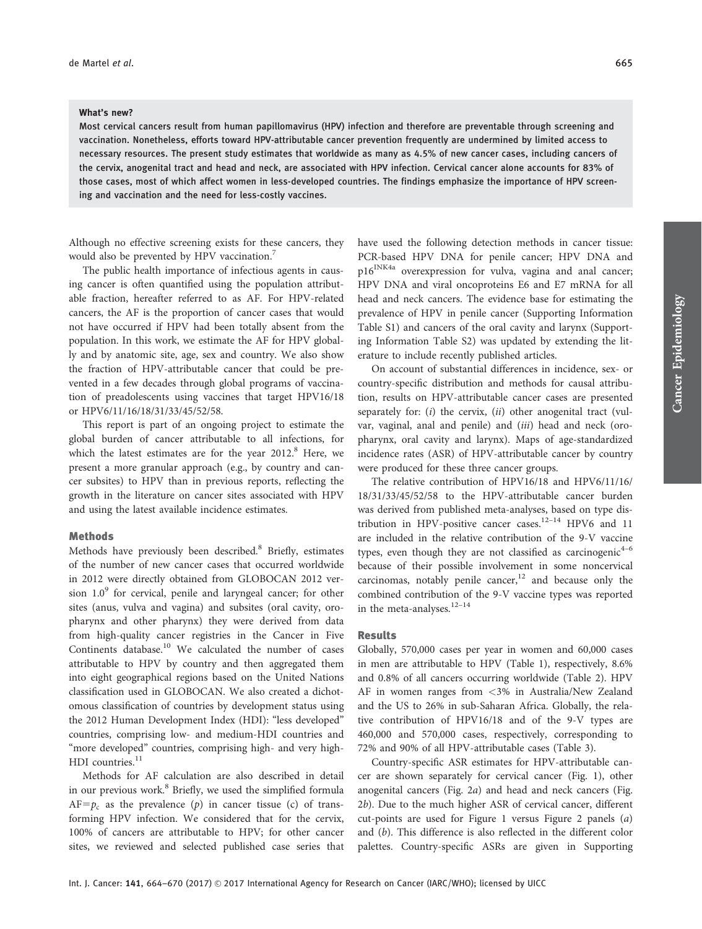#### What's new?

Most cervical cancers result from human papillomavirus (HPV) infection and therefore are preventable through screening and vaccination. Nonetheless, efforts toward HPV-attributable cancer prevention frequently are undermined by limited access to necessary resources. The present study estimates that worldwide as many as 4.5% of new cancer cases, including cancers of the cervix, anogenital tract and head and neck, are associated with HPV infection. Cervical cancer alone accounts for 83% of those cases, most of which affect women in less-developed countries. The findings emphasize the importance of HPV screening and vaccination and the need for less-costly vaccines.

Although no effective screening exists for these cancers, they would also be prevented by HPV vaccination.<sup>7</sup>

The public health importance of infectious agents in causing cancer is often quantified using the population attributable fraction, hereafter referred to as AF. For HPV-related cancers, the AF is the proportion of cancer cases that would not have occurred if HPV had been totally absent from the population. In this work, we estimate the AF for HPV globally and by anatomic site, age, sex and country. We also show the fraction of HPV-attributable cancer that could be prevented in a few decades through global programs of vaccination of preadolescents using vaccines that target HPV16/18 or HPV6/11/16/18/31/33/45/52/58.

This report is part of an ongoing project to estimate the global burden of cancer attributable to all infections, for which the latest estimates are for the year  $2012$ .<sup>8</sup> Here, we present a more granular approach (e.g., by country and cancer subsites) to HPV than in previous reports, reflecting the growth in the literature on cancer sites associated with HPV and using the latest available incidence estimates.

# Methods

Methods have previously been described.<sup>8</sup> Briefly, estimates of the number of new cancer cases that occurred worldwide in 2012 were directly obtained from GLOBOCAN 2012 version  $1.0<sup>9</sup>$  for cervical, penile and laryngeal cancer; for other sites (anus, vulva and vagina) and subsites (oral cavity, oropharynx and other pharynx) they were derived from data from high-quality cancer registries in the Cancer in Five Continents database.<sup>10</sup> We calculated the number of cases attributable to HPV by country and then aggregated them into eight geographical regions based on the United Nations classification used in GLOBOCAN. We also created a dichotomous classification of countries by development status using the 2012 Human Development Index (HDI): "less developed" countries, comprising low- and medium-HDI countries and "more developed" countries, comprising high- and very high- $HDI$  countries.<sup>11</sup>

Methods for AF calculation are also described in detail in our previous work.<sup>8</sup> Briefly, we used the simplified formula  $AF=p_c$  as the prevalence (p) in cancer tissue (c) of transforming HPV infection. We considered that for the cervix, 100% of cancers are attributable to HPV; for other cancer sites, we reviewed and selected published case series that have used the following detection methods in cancer tissue: PCR-based HPV DNA for penile cancer; HPV DNA and p16<sup>INK4a</sup> overexpression for vulva, vagina and anal cancer; HPV DNA and viral oncoproteins E6 and E7 mRNA for all head and neck cancers. The evidence base for estimating the prevalence of HPV in penile cancer (Supporting Information Table S1) and cancers of the oral cavity and larynx (Supporting Information Table S2) was updated by extending the literature to include recently published articles.

On account of substantial differences in incidence, sex- or country-specific distribution and methods for causal attribution, results on HPV-attributable cancer cases are presented separately for:  $(i)$  the cervix,  $(ii)$  other anogenital tract (vulvar, vaginal, anal and penile) and (iii) head and neck (oropharynx, oral cavity and larynx). Maps of age-standardized incidence rates (ASR) of HPV-attributable cancer by country were produced for these three cancer groups.

The relative contribution of HPV16/18 and HPV6/11/16/ 18/31/33/45/52/58 to the HPV-attributable cancer burden was derived from published meta-analyses, based on type distribution in HPV-positive cancer cases.<sup>12-14</sup> HPV6 and 11 are included in the relative contribution of the 9-V vaccine types, even though they are not classified as carcinogenic<sup>4-6</sup> because of their possible involvement in some noncervical carcinomas, notably penile cancer, $12$  and because only the combined contribution of the 9-V vaccine types was reported in the meta-analyses. $12-14$ 

# Results

Globally, 570,000 cases per year in women and 60,000 cases in men are attributable to HPV (Table 1), respectively, 8.6% and 0.8% of all cancers occurring worldwide (Table 2). HPV AF in women ranges from <3% in Australia/New Zealand and the US to 26% in sub-Saharan Africa. Globally, the relative contribution of HPV16/18 and of the 9-V types are 460,000 and 570,000 cases, respectively, corresponding to 72% and 90% of all HPV-attributable cases (Table 3).

Country-specific ASR estimates for HPV-attributable cancer are shown separately for cervical cancer (Fig. 1), other anogenital cancers (Fig. 2a) and head and neck cancers (Fig. 2b). Due to the much higher ASR of cervical cancer, different cut-points are used for Figure 1 versus Figure 2 panels (a) and (b). This difference is also reflected in the different color palettes. Country-specific ASRs are given in Supporting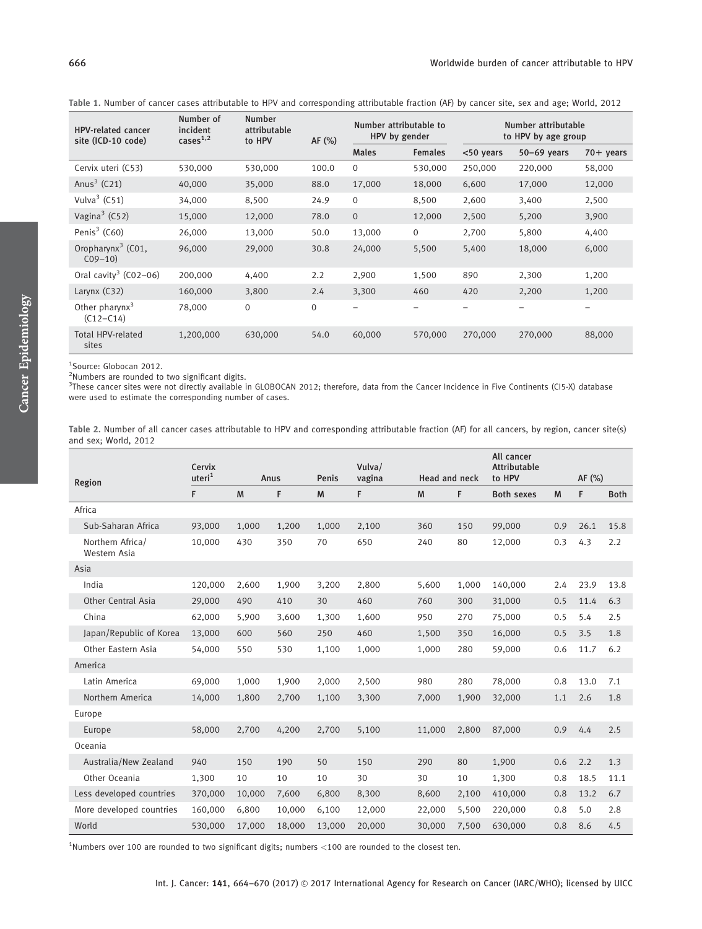Table 1. Number of cancer cases attributable to HPV and corresponding attributable fraction (AF) by cancer site, sex and age; World, 2012

| <b>HPV-related cancer</b><br>site (ICD-10 code) | Number of<br>incident<br>cases <sup>1,2</sup> | <b>Number</b><br>attributable<br>to HPV | AF $(%)$    | Number attributable to<br>HPV by gender |                | Number attributable<br>to HPV by age group |               |                     |  |
|-------------------------------------------------|-----------------------------------------------|-----------------------------------------|-------------|-----------------------------------------|----------------|--------------------------------------------|---------------|---------------------|--|
|                                                 |                                               |                                         |             | <b>Males</b>                            | <b>Females</b> | <50 years                                  | $50-69$ years | $70 + \text{years}$ |  |
| Cervix uteri (C53)                              | 530,000                                       | 530,000                                 | 100.0       | $\Omega$                                | 530,000        | 250,000                                    | 220,000       | 58,000              |  |
| Anus $3$ (C21)                                  | 40,000                                        | 35,000                                  | 88.0        | 17,000                                  | 18,000         | 6,600                                      | 17,000        | 12,000              |  |
| Vulva $3$ (C51)                                 | 34,000                                        | 8,500                                   | 24.9        | $\mathbf 0$                             | 8,500          | 2,600                                      | 3,400         | 2,500               |  |
| Vagina <sup>3</sup> (C52)                       | 15,000                                        | 12,000                                  | 78.0        | $\overline{0}$                          | 12,000         | 2,500                                      | 5,200         | 3,900               |  |
| Penis $3$ (C60)                                 | 26,000                                        | 13,000                                  | 50.0        | 13,000                                  | $\mathbf{0}$   | 2,700                                      | 5,800         | 4,400               |  |
| Oropharynx <sup>3</sup> (C01,<br>$C09-10$       | 96,000                                        | 29,000                                  | 30.8        | 24,000                                  | 5,500          | 5,400                                      | 18,000        | 6,000               |  |
| Oral cavity <sup>3</sup> (C02-06)               | 200,000                                       | 4,400                                   | 2.2         | 2,900                                   | 1,500          | 890                                        | 2,300         | 1,200               |  |
| Larynx $(C32)$                                  | 160,000                                       | 3,800                                   | 2.4         | 3,300                                   | 460            | 420                                        | 2,200         | 1,200               |  |
| Other pharynx $3$<br>$(C12 - C14)$              | 78,000                                        | $\mathbf{0}$                            | $\mathbf 0$ |                                         |                |                                            |               |                     |  |
| <b>Total HPV-related</b><br>sites               | 1,200,000                                     | 630,000                                 | 54.0        | 60,000                                  | 570,000        | 270,000                                    | 270,000       | 88,000              |  |

1 Source: Globocan 2012.

<sup>2</sup>Numbers are rounded to two significant digits.

<sup>3</sup>These cancer sites were not directly available in GLOBOCAN 2012; therefore, data from the Cancer Incidence in Five Continents (CI5-X) database were used to estimate the corresponding number of cases.

Table 2. Number of all cancer cases attributable to HPV and corresponding attributable fraction (AF) for all cancers, by region, cancer site(s) and sex; World, 2012

|                                  | Cervix<br>uteri <sup>1</sup><br>Penis<br>Anus |        | Vulva/ |        |                         | All cancer<br><b>Attributable</b> |       |                   |     |        |             |
|----------------------------------|-----------------------------------------------|--------|--------|--------|-------------------------|-----------------------------------|-------|-------------------|-----|--------|-------------|
| Region                           |                                               |        |        |        | vagina<br>Head and neck |                                   |       | to HPV            |     | AF (%) |             |
|                                  | F                                             | M      | F      | M      | F                       | M                                 | F     | <b>Both sexes</b> | M   | F      | <b>Both</b> |
| Africa                           |                                               |        |        |        |                         |                                   |       |                   |     |        |             |
| Sub-Saharan Africa               | 93,000                                        | 1,000  | 1,200  | 1,000  | 2,100                   | 360                               | 150   | 99,000            | 0.9 | 26.1   | 15.8        |
| Northern Africa/<br>Western Asia | 10,000                                        | 430    | 350    | 70     | 650                     | 240                               | 80    | 12,000            | 0.3 | 4.3    | 2.2         |
| Asia                             |                                               |        |        |        |                         |                                   |       |                   |     |        |             |
| India                            | 120,000                                       | 2,600  | 1,900  | 3,200  | 2,800                   | 5,600                             | 1,000 | 140,000           | 2.4 | 23.9   | 13.8        |
| <b>Other Central Asia</b>        | 29,000                                        | 490    | 410    | 30     | 460                     | 760                               | 300   | 31,000            | 0.5 | 11.4   | 6.3         |
| China                            | 62,000                                        | 5,900  | 3,600  | 1,300  | 1,600                   | 950                               | 270   | 75,000            | 0.5 | 5.4    | 2.5         |
| Japan/Republic of Korea          | 13,000                                        | 600    | 560    | 250    | 460                     | 1,500                             | 350   | 16,000            | 0.5 | 3.5    | 1.8         |
| Other Eastern Asia               | 54,000                                        | 550    | 530    | 1,100  | 1,000                   | 1,000                             | 280   | 59,000            | 0.6 | 11.7   | 6.2         |
| America                          |                                               |        |        |        |                         |                                   |       |                   |     |        |             |
| Latin America                    | 69,000                                        | 1,000  | 1,900  | 2,000  | 2,500                   | 980                               | 280   | 78,000            | 0.8 | 13.0   | 7.1         |
| Northern America                 | 14,000                                        | 1,800  | 2,700  | 1,100  | 3,300                   | 7,000                             | 1,900 | 32,000            | 1.1 | 2.6    | 1.8         |
| Europe                           |                                               |        |        |        |                         |                                   |       |                   |     |        |             |
| Europe                           | 58,000                                        | 2,700  | 4,200  | 2,700  | 5,100                   | 11.000                            | 2,800 | 87,000            | 0.9 | 4.4    | 2.5         |
| Oceania                          |                                               |        |        |        |                         |                                   |       |                   |     |        |             |
| Australia/New Zealand            | 940                                           | 150    | 190    | 50     | 150                     | 290                               | 80    | 1,900             | 0.6 | 2.2    | 1.3         |
| Other Oceania                    | 1,300                                         | 10     | 10     | 10     | 30                      | 30                                | 10    | 1,300             | 0.8 | 18.5   | 11.1        |
| Less developed countries         | 370,000                                       | 10,000 | 7,600  | 6,800  | 8,300                   | 8,600                             | 2,100 | 410,000           | 0.8 | 13.2   | 6.7         |
| More developed countries         | 160,000                                       | 6,800  | 10,000 | 6,100  | 12,000                  | 22,000                            | 5,500 | 220,000           | 0.8 | 5.0    | 2.8         |
| World                            | 530,000                                       | 17,000 | 18,000 | 13,000 | 20,000                  | 30,000                            | 7,500 | 630,000           | 0.8 | 8.6    | 4.5         |

<sup>1</sup>Numbers over 100 are rounded to two significant digits; numbers <100 are rounded to the closest ten.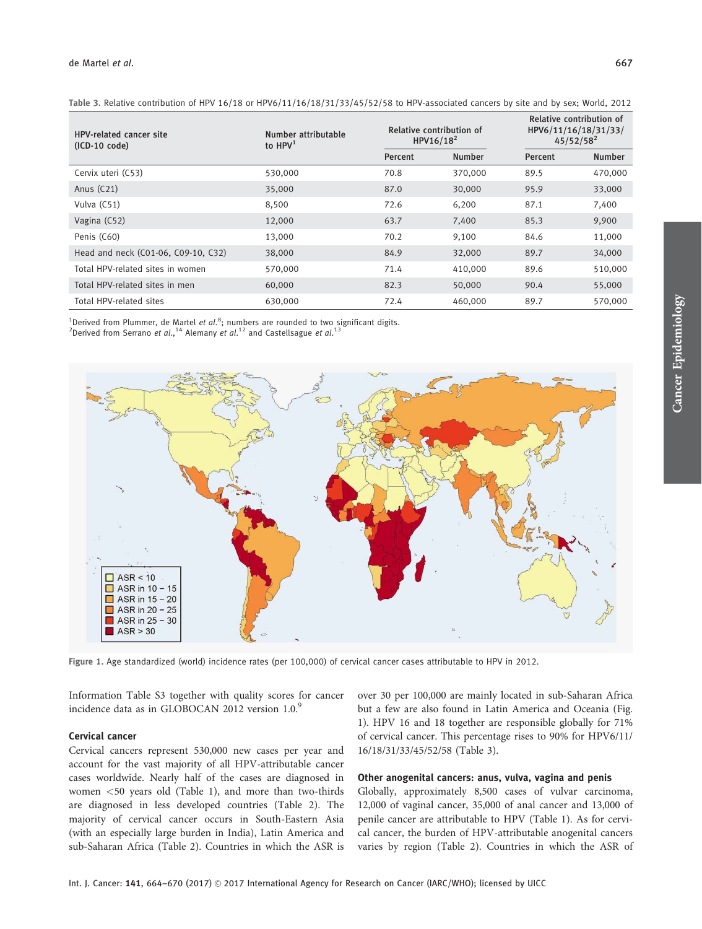| <b>HPV-related cancer site</b><br>$(ICD-10 code)$ | Number attributable<br>to $HPV1$ |         | Relative contribution of<br>HPV16/18 <sup>2</sup> | Relative contribution of<br>HPV6/11/16/18/31/33/<br>$45/52/58^2$ |               |  |
|---------------------------------------------------|----------------------------------|---------|---------------------------------------------------|------------------------------------------------------------------|---------------|--|
|                                                   |                                  | Percent | <b>Number</b>                                     | Percent                                                          | <b>Number</b> |  |
| Cervix uteri (C53)                                | 530,000                          | 70.8    | 370,000                                           | 89.5                                                             | 470,000       |  |
| Anus $(C21)$                                      | 35,000                           | 87.0    | 30,000                                            | 95.9                                                             | 33,000        |  |
| Vulva (C51)                                       | 8,500                            | 72.6    | 6,200                                             | 87.1                                                             | 7,400         |  |
| Vagina (C52)                                      | 12,000                           | 63.7    | 7,400                                             | 85.3                                                             | 9,900         |  |
| Penis (C60)                                       | 13,000                           | 70.2    | 9,100                                             | 84.6                                                             | 11,000        |  |
| Head and neck (C01-06, C09-10, C32)               | 38,000                           | 84.9    | 32,000                                            | 89.7                                                             | 34,000        |  |
| Total HPV-related sites in women                  | 570,000                          | 71.4    | 410,000                                           | 89.6                                                             | 510,000       |  |
| Total HPV-related sites in men                    | 60,000                           | 82.3    | 50,000                                            | 90.4                                                             | 55,000        |  |
| Total HPV-related sites                           | 630,000                          | 72.4    | 460,000                                           | 89.7                                                             | 570,000       |  |

Table 3. Relative contribution of HPV 16/18 or HPV6/11/16/18/31/33/45/52/58 to HPV-associated cancers by site and by sex; World, 2012

<sup>1</sup>Derived from Plummer, de Martel *et al.*<sup>8</sup>; numbers are rounded to two significant digits.

Derived from Serrano et al., <sup>14</sup> Alemany et al.<sup>12</sup> and Castellsague et al.<sup>13</sup>



Figure 1. Age standardized (world) incidence rates (per 100,000) of cervical cancer cases attributable to HPV in 2012.

Information Table S3 together with quality scores for cancer incidence data as in GLOBOCAN 2012 version  $1.0<sup>9</sup>$ 

# Cervical cancer

Cervical cancers represent 530,000 new cases per year and account for the vast majority of all HPV-attributable cancer cases worldwide. Nearly half of the cases are diagnosed in women <50 years old (Table 1), and more than two-thirds are diagnosed in less developed countries (Table 2). The majority of cervical cancer occurs in South-Eastern Asia (with an especially large burden in India), Latin America and sub-Saharan Africa (Table 2). Countries in which the ASR is over 30 per 100,000 are mainly located in sub-Saharan Africa but a few are also found in Latin America and Oceania (Fig. 1). HPV 16 and 18 together are responsible globally for 71% of cervical cancer. This percentage rises to 90% for HPV6/11/ 16/18/31/33/45/52/58 (Table 3).

# Other anogenital cancers: anus, vulva, vagina and penis

Globally, approximately 8,500 cases of vulvar carcinoma, 12,000 of vaginal cancer, 35,000 of anal cancer and 13,000 of penile cancer are attributable to HPV (Table 1). As for cervical cancer, the burden of HPV-attributable anogenital cancers varies by region (Table 2). Countries in which the ASR of Cancer Epidemiology

Cancer Epidemiology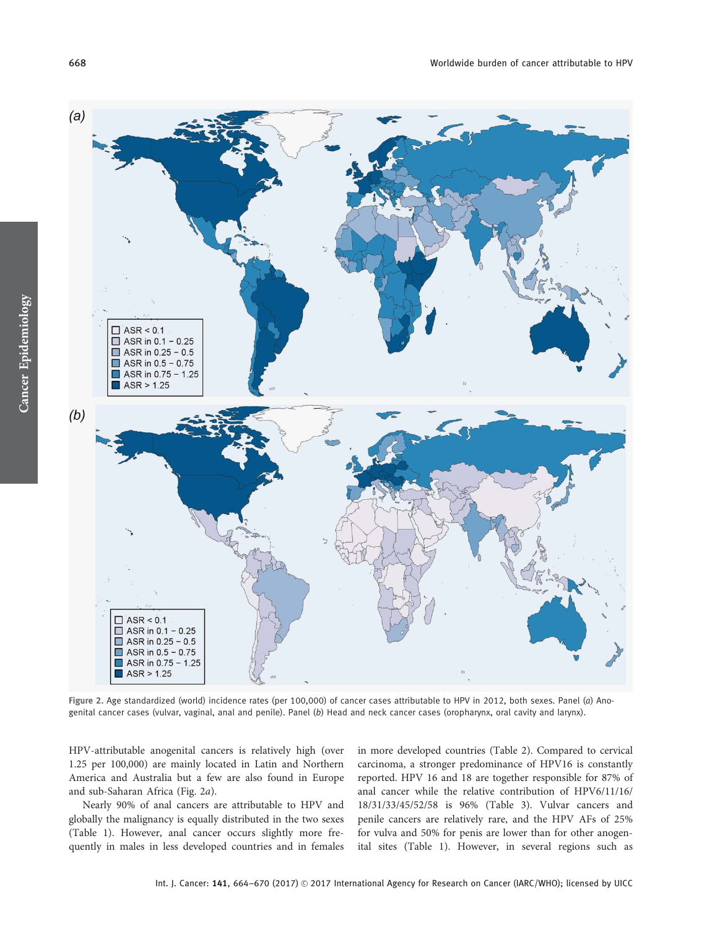

Figure 2. Age standardized (world) incidence rates (per 100,000) of cancer cases attributable to HPV in 2012, both sexes. Panel (a) Anogenital cancer cases (vulvar, vaginal, anal and penile). Panel (b) Head and neck cancer cases (oropharynx, oral cavity and larynx).

HPV-attributable anogenital cancers is relatively high (over 1.25 per 100,000) are mainly located in Latin and Northern America and Australia but a few are also found in Europe and sub-Saharan Africa (Fig. 2a).

Nearly 90% of anal cancers are attributable to HPV and globally the malignancy is equally distributed in the two sexes (Table 1). However, anal cancer occurs slightly more frequently in males in less developed countries and in females in more developed countries (Table 2). Compared to cervical carcinoma, a stronger predominance of HPV16 is constantly reported. HPV 16 and 18 are together responsible for 87% of anal cancer while the relative contribution of HPV6/11/16/ 18/31/33/45/52/58 is 96% (Table 3). Vulvar cancers and penile cancers are relatively rare, and the HPV AFs of 25% for vulva and 50% for penis are lower than for other anogenital sites (Table 1). However, in several regions such as

Cancer Epidemiology

Cancer Epidemiology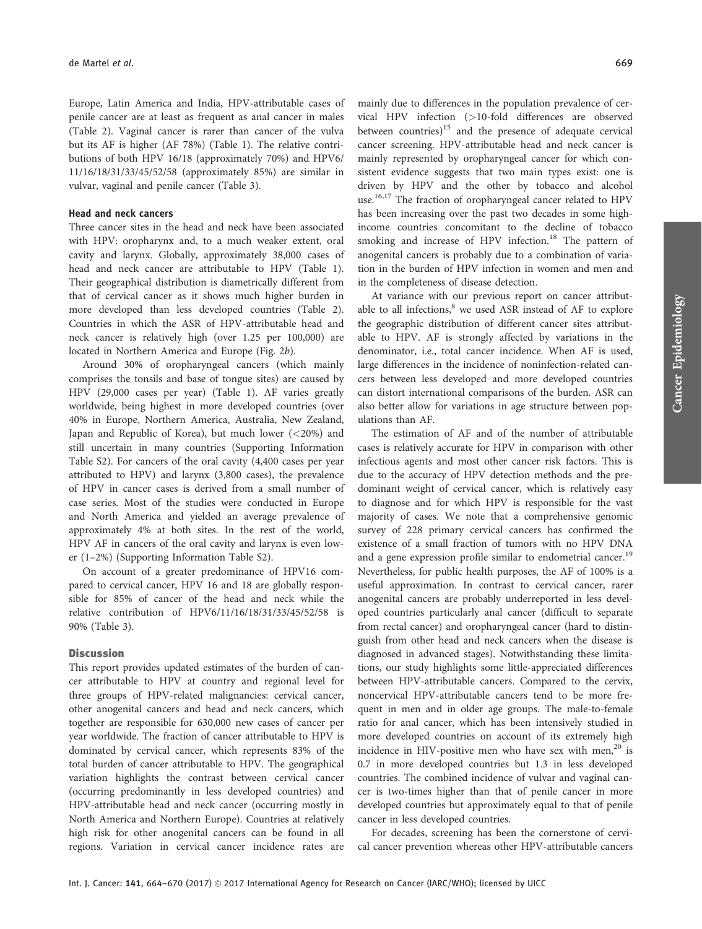Europe, Latin America and India, HPV-attributable cases of penile cancer are at least as frequent as anal cancer in males (Table 2). Vaginal cancer is rarer than cancer of the vulva but its AF is higher (AF 78%) (Table 1). The relative contributions of both HPV 16/18 (approximately 70%) and HPV6/ 11/16/18/31/33/45/52/58 (approximately 85%) are similar in vulvar, vaginal and penile cancer (Table 3).

### Head and neck cancers

Three cancer sites in the head and neck have been associated with HPV: oropharynx and, to a much weaker extent, oral cavity and larynx. Globally, approximately 38,000 cases of head and neck cancer are attributable to HPV (Table 1). Their geographical distribution is diametrically different from that of cervical cancer as it shows much higher burden in more developed than less developed countries (Table 2). Countries in which the ASR of HPV-attributable head and neck cancer is relatively high (over 1.25 per 100,000) are located in Northern America and Europe (Fig. 2b).

Around 30% of oropharyngeal cancers (which mainly comprises the tonsils and base of tongue sites) are caused by HPV (29,000 cases per year) (Table 1). AF varies greatly worldwide, being highest in more developed countries (over 40% in Europe, Northern America, Australia, New Zealand, Japan and Republic of Korea), but much lower (<20%) and still uncertain in many countries (Supporting Information Table S2). For cancers of the oral cavity (4,400 cases per year attributed to HPV) and larynx (3,800 cases), the prevalence of HPV in cancer cases is derived from a small number of case series. Most of the studies were conducted in Europe and North America and yielded an average prevalence of approximately 4% at both sites. In the rest of the world, HPV AF in cancers of the oral cavity and larynx is even lower (1–2%) (Supporting Information Table S2).

On account of a greater predominance of HPV16 compared to cervical cancer, HPV 16 and 18 are globally responsible for 85% of cancer of the head and neck while the relative contribution of HPV6/11/16/18/31/33/45/52/58 is 90% (Table 3).

## **Discussion**

This report provides updated estimates of the burden of cancer attributable to HPV at country and regional level for three groups of HPV-related malignancies: cervical cancer, other anogenital cancers and head and neck cancers, which together are responsible for 630,000 new cases of cancer per year worldwide. The fraction of cancer attributable to HPV is dominated by cervical cancer, which represents 83% of the total burden of cancer attributable to HPV. The geographical variation highlights the contrast between cervical cancer (occurring predominantly in less developed countries) and HPV-attributable head and neck cancer (occurring mostly in North America and Northern Europe). Countries at relatively high risk for other anogenital cancers can be found in all regions. Variation in cervical cancer incidence rates are mainly due to differences in the population prevalence of cervical HPV infection (>10-fold differences are observed between countries) $15$  and the presence of adequate cervical cancer screening. HPV-attributable head and neck cancer is mainly represented by oropharyngeal cancer for which consistent evidence suggests that two main types exist: one is driven by HPV and the other by tobacco and alcohol use.<sup>16,17</sup> The fraction of oropharyngeal cancer related to HPV has been increasing over the past two decades in some highincome countries concomitant to the decline of tobacco smoking and increase of HPV infection.<sup>18</sup> The pattern of anogenital cancers is probably due to a combination of variation in the burden of HPV infection in women and men and in the completeness of disease detection.

At variance with our previous report on cancer attributable to all infections,<sup>8</sup> we used ASR instead of AF to explore the geographic distribution of different cancer sites attributable to HPV. AF is strongly affected by variations in the denominator, i.e., total cancer incidence. When AF is used, large differences in the incidence of noninfection-related cancers between less developed and more developed countries can distort international comparisons of the burden. ASR can also better allow for variations in age structure between populations than AF.

The estimation of AF and of the number of attributable cases is relatively accurate for HPV in comparison with other infectious agents and most other cancer risk factors. This is due to the accuracy of HPV detection methods and the predominant weight of cervical cancer, which is relatively easy to diagnose and for which HPV is responsible for the vast majority of cases. We note that a comprehensive genomic survey of 228 primary cervical cancers has confirmed the existence of a small fraction of tumors with no HPV DNA and a gene expression profile similar to endometrial cancer.<sup>19</sup> Nevertheless, for public health purposes, the AF of 100% is a useful approximation. In contrast to cervical cancer, rarer anogenital cancers are probably underreported in less developed countries particularly anal cancer (difficult to separate from rectal cancer) and oropharyngeal cancer (hard to distinguish from other head and neck cancers when the disease is diagnosed in advanced stages). Notwithstanding these limitations, our study highlights some little-appreciated differences between HPV-attributable cancers. Compared to the cervix, noncervical HPV-attributable cancers tend to be more frequent in men and in older age groups. The male-to-female ratio for anal cancer, which has been intensively studied in more developed countries on account of its extremely high incidence in HIV-positive men who have sex with men, $^{20}$  is 0.7 in more developed countries but 1.3 in less developed countries. The combined incidence of vulvar and vaginal cancer is two-times higher than that of penile cancer in more developed countries but approximately equal to that of penile cancer in less developed countries.

For decades, screening has been the cornerstone of cervical cancer prevention whereas other HPV-attributable cancers